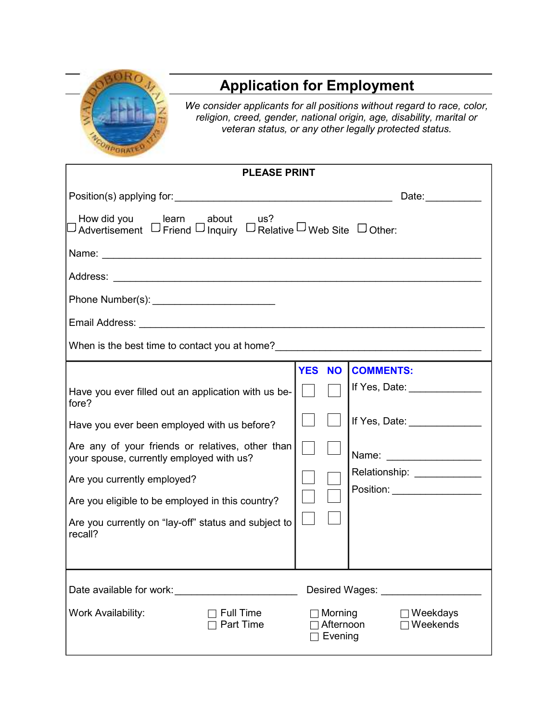

## **Application for Employment**

*We consider applicants for all positions without regard to race, color, religion, creed, gender, national origin, age, disability, marital or veteran status, or any other legally protected status.* 

| <b>PLEASE PRINT</b>                                                                            |                                 |                                        |  |  |  |  |
|------------------------------------------------------------------------------------------------|---------------------------------|----------------------------------------|--|--|--|--|
|                                                                                                |                                 | Date:                                  |  |  |  |  |
| How did you searn about us?<br>Advertisement D Friend D Inquiry D Relative D Web Site D Other: |                                 |                                        |  |  |  |  |
|                                                                                                |                                 |                                        |  |  |  |  |
|                                                                                                |                                 |                                        |  |  |  |  |
|                                                                                                |                                 |                                        |  |  |  |  |
|                                                                                                |                                 |                                        |  |  |  |  |
| When is the best time to contact you at home?___________________________________               |                                 |                                        |  |  |  |  |
|                                                                                                | <b>YES</b><br><b>NO</b>         | <b>COMMENTS:</b>                       |  |  |  |  |
| Have you ever filled out an application with us be-<br>fore?                                   |                                 | If Yes, Date: $\frac{1}{2}$            |  |  |  |  |
| Have you ever been employed with us before?                                                    |                                 | If Yes, Date: _______________          |  |  |  |  |
| Are any of your friends or relatives, other than<br>your spouse, currently employed with us?   |                                 |                                        |  |  |  |  |
| Are you currently employed?                                                                    |                                 | Relationship: ______________           |  |  |  |  |
| Are you eligible to be employed in this country?                                               |                                 | Position: ___________________          |  |  |  |  |
| Are you currently on "lay-off" status and subject to<br>recall?                                |                                 |                                        |  |  |  |  |
|                                                                                                |                                 |                                        |  |  |  |  |
|                                                                                                |                                 | Desired Wages: New York Desired Wages: |  |  |  |  |
| Work Availability:<br><b>Full Time</b><br>Part Time                                            | Morning<br>Afternoon<br>Evening | Weekdays<br>Weekends                   |  |  |  |  |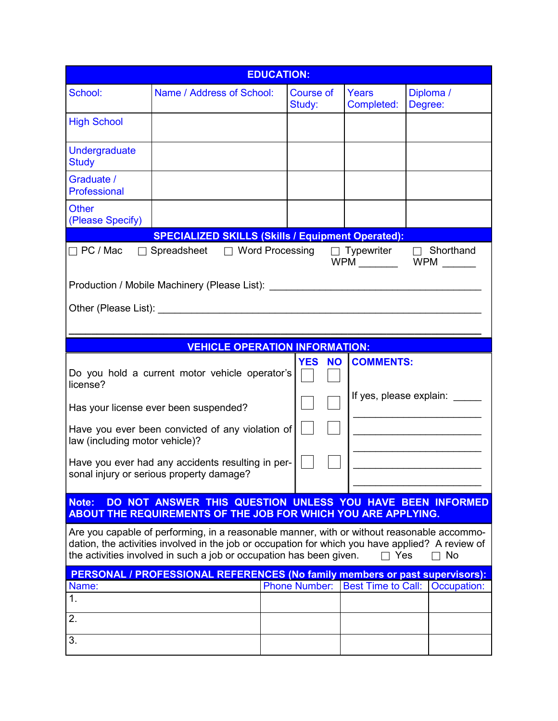| <b>EDUCATION:</b>                                                                                                                                                                                                                                                                       |                                                                                                                                                                                                                                              |  |                            |                     |                                                |
|-----------------------------------------------------------------------------------------------------------------------------------------------------------------------------------------------------------------------------------------------------------------------------------------|----------------------------------------------------------------------------------------------------------------------------------------------------------------------------------------------------------------------------------------------|--|----------------------------|---------------------|------------------------------------------------|
| School:                                                                                                                                                                                                                                                                                 | Name / Address of School:                                                                                                                                                                                                                    |  | <b>Course of</b><br>Study: | Years<br>Completed: | Diploma /<br>Degree:                           |
| <b>High School</b>                                                                                                                                                                                                                                                                      |                                                                                                                                                                                                                                              |  |                            |                     |                                                |
| <b>Undergraduate</b><br><b>Study</b>                                                                                                                                                                                                                                                    |                                                                                                                                                                                                                                              |  |                            |                     |                                                |
| Graduate /<br>Professional                                                                                                                                                                                                                                                              |                                                                                                                                                                                                                                              |  |                            |                     |                                                |
| <b>Other</b><br>(Please Specify)                                                                                                                                                                                                                                                        |                                                                                                                                                                                                                                              |  |                            |                     |                                                |
|                                                                                                                                                                                                                                                                                         | <b>SPECIALIZED SKILLS (Skills / Equipment Operated):</b>                                                                                                                                                                                     |  |                            |                     |                                                |
| $\Box$ PC / Mac                                                                                                                                                                                                                                                                         | $\Box$ Spreadsheet $\Box$ Word Processing $\Box$ Typewriter<br>Production / Mobile Machinery (Please List): ___________________________________                                                                                              |  |                            |                     | $\Box$ Shorthand<br>WPM __________ WPM _______ |
|                                                                                                                                                                                                                                                                                         |                                                                                                                                                                                                                                              |  |                            |                     |                                                |
|                                                                                                                                                                                                                                                                                         | <b>VEHICLE OPERATION INFORMATION:</b>                                                                                                                                                                                                        |  |                            |                     |                                                |
| license?<br>law (including motor vehicle)?<br>Note:                                                                                                                                                                                                                                     | Do you hold a current motor vehicle operator's<br>Has your license ever been suspended?<br>Have you ever been convicted of any violation of<br>Have you ever had any accidents resulting in per-<br>sonal injury or serious property damage? |  | <b>YES</b><br><b>NO</b>    | <b>COMMENTS:</b>    | If yes, please explain:                        |
| DO NOT ANSWER THIS QUESTION UNLESS YOU HAVE BEEN INFORMED<br><b>ABOUT THE REQUIREMENTS OF THE JOB FOR WHICH YOU ARE APPLYING.</b>                                                                                                                                                       |                                                                                                                                                                                                                                              |  |                            |                     |                                                |
| Are you capable of performing, in a reasonable manner, with or without reasonable accommo-<br>dation, the activities involved in the job or occupation for which you have applied? A review of<br>the activities involved in such a job or occupation has been given.<br>No<br>Yes<br>П |                                                                                                                                                                                                                                              |  |                            |                     |                                                |
|                                                                                                                                                                                                                                                                                         | PERSONAL / PROFESSIONAL REFERENCES (No family members or past supervisors):                                                                                                                                                                  |  |                            |                     |                                                |
| Name:                                                                                                                                                                                                                                                                                   |                                                                                                                                                                                                                                              |  |                            |                     | Phone Number: Best Time to Call:   Occupation: |
| 1.                                                                                                                                                                                                                                                                                      |                                                                                                                                                                                                                                              |  |                            |                     |                                                |
| 2.                                                                                                                                                                                                                                                                                      |                                                                                                                                                                                                                                              |  |                            |                     |                                                |
| 3.                                                                                                                                                                                                                                                                                      |                                                                                                                                                                                                                                              |  |                            |                     |                                                |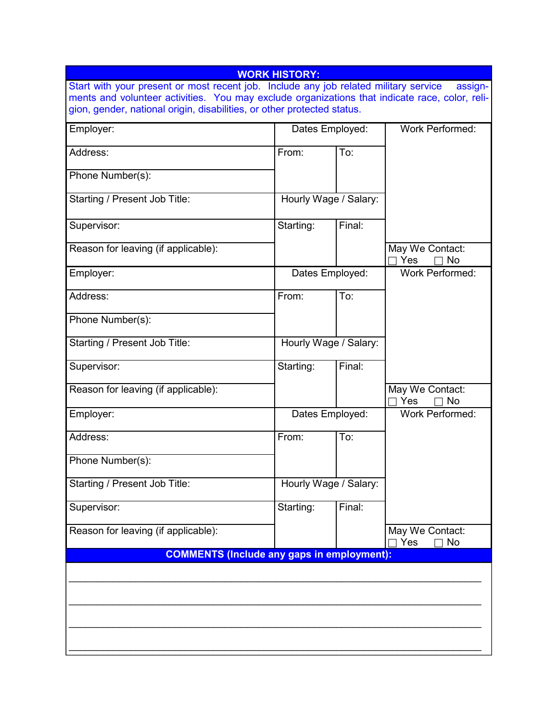| <b>WORK HISTORY:</b>                                                                                                                                                                              |                       |        |                                     |  |  |  |  |
|---------------------------------------------------------------------------------------------------------------------------------------------------------------------------------------------------|-----------------------|--------|-------------------------------------|--|--|--|--|
| Start with your present or most recent job. Include any job related military service<br>assign-<br>ments and volunteer activities. You may exclude organizations that indicate race, color, reli- |                       |        |                                     |  |  |  |  |
| gion, gender, national origin, disabilities, or other protected status.                                                                                                                           |                       |        |                                     |  |  |  |  |
| Employer:                                                                                                                                                                                         | Dates Employed:       |        | <b>Work Performed:</b>              |  |  |  |  |
| Address:                                                                                                                                                                                          | From:                 | To:    |                                     |  |  |  |  |
| Phone Number(s):                                                                                                                                                                                  |                       |        |                                     |  |  |  |  |
| Starting / Present Job Title:                                                                                                                                                                     | Hourly Wage / Salary: |        |                                     |  |  |  |  |
| Supervisor:                                                                                                                                                                                       | Starting:             | Final: |                                     |  |  |  |  |
| Reason for leaving (if applicable):                                                                                                                                                               |                       |        | May We Contact:<br>Yes<br><b>No</b> |  |  |  |  |
| Employer:                                                                                                                                                                                         | Dates Employed:       |        | <b>Work Performed:</b>              |  |  |  |  |
| Address:                                                                                                                                                                                          | From:                 | To:    |                                     |  |  |  |  |
| Phone Number(s):                                                                                                                                                                                  |                       |        |                                     |  |  |  |  |
| Starting / Present Job Title:                                                                                                                                                                     | Hourly Wage / Salary: |        |                                     |  |  |  |  |
| Supervisor:                                                                                                                                                                                       | Starting:             | Final: |                                     |  |  |  |  |
| Reason for leaving (if applicable):                                                                                                                                                               |                       |        | May We Contact:<br>Yes<br><b>No</b> |  |  |  |  |
| Employer:                                                                                                                                                                                         | Dates Employed:       |        | <b>Work Performed:</b>              |  |  |  |  |
| Address:                                                                                                                                                                                          | From:                 | To:    |                                     |  |  |  |  |
| Phone Number(s):                                                                                                                                                                                  |                       |        |                                     |  |  |  |  |
| Starting / Present Job Title:                                                                                                                                                                     | Hourly Wage / Salary: |        |                                     |  |  |  |  |
| Supervisor:                                                                                                                                                                                       | Starting:             | Final: |                                     |  |  |  |  |
| Reason for leaving (if applicable):                                                                                                                                                               |                       |        | May We Contact:<br>No<br>Yes        |  |  |  |  |
| <b>COMMENTS (Include any gaps in employment):</b>                                                                                                                                                 |                       |        |                                     |  |  |  |  |
|                                                                                                                                                                                                   |                       |        |                                     |  |  |  |  |
|                                                                                                                                                                                                   |                       |        |                                     |  |  |  |  |
|                                                                                                                                                                                                   |                       |        |                                     |  |  |  |  |
|                                                                                                                                                                                                   |                       |        |                                     |  |  |  |  |
|                                                                                                                                                                                                   |                       |        |                                     |  |  |  |  |
|                                                                                                                                                                                                   |                       |        |                                     |  |  |  |  |